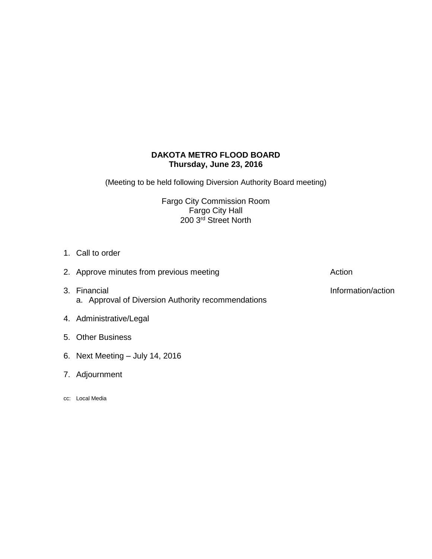# **DAKOTA METRO FLOOD BOARD Thursday, June 23, 2016**

(Meeting to be held following Diversion Authority Board meeting)

Fargo City Commission Room Fargo City Hall 200 3rd Street North

1. Call to order

| 2. Approve minutes from previous meeting                           | Action             |
|--------------------------------------------------------------------|--------------------|
| 3. Financial<br>a. Approval of Diversion Authority recommendations | Information/action |

- 4. Administrative/Legal
- 5. Other Business
- 6. Next Meeting July 14, 2016
- 7. Adjournment
- cc: Local Media